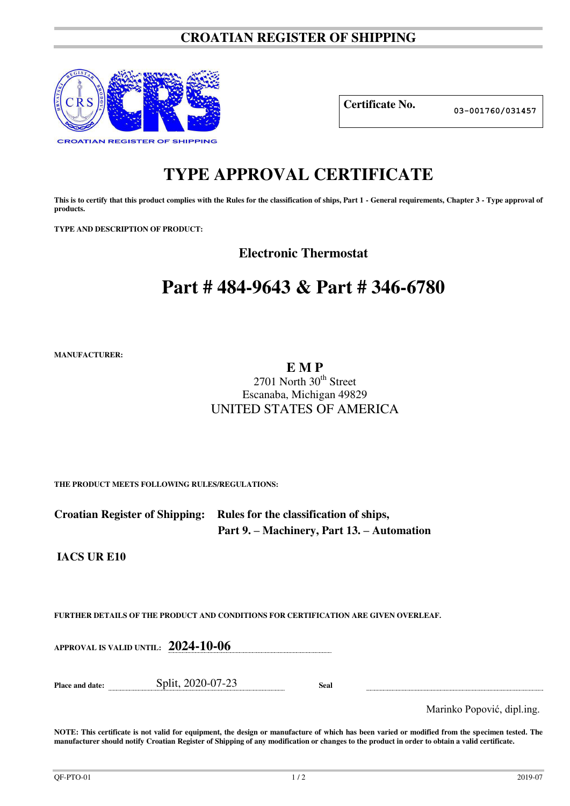## **CROATIAN REGISTER OF SHIPPING**



**Certificate No. 03-001760/031457**

## **TYPE APPROVAL CERTIFICATE**

This is to certify that this product complies with the Rules for the classification of ships, Part 1 - General requirements, Chapter 3 - Type approval of **products.** 

**TYPE AND DESCRIPTION OF PRODUCT:** 

**Electronic Thermostat** 

# **Part # 484-9643 & Part # 346-6780**

**MANUFACTURER:**

**E M P** 

## $2701$  North  $30<sup>th</sup>$  Street Escanaba, Michigan 49829 UNITED STATES OF AMERICA

**THE PRODUCT MEETS FOLLOWING RULES/REGULATIONS:**

| Croatian Register of Shipping: Rules for the classification of ships, |
|-----------------------------------------------------------------------|
| Part 9. – Machinery, Part 13. – Automation                            |

**IACS UR E10** 

**FURTHER DETAILS OF THE PRODUCT AND CONDITIONS FOR CERTIFICATION ARE GIVEN OVERLEAF.**

**APPROVAL IS VALID UNTIL: 2024-10-06**

**Place and date:** Split, 2020-07-23 **Seal** 

Marinko Popović, dipl.ing.

**NOTE: This certificate is not valid for equipment, the design or manufacture of which has been varied or modified from the specimen tested. The manufacturer should notify Croatian Register of Shipping of any modification or changes to the product in order to obtain a valid certificate.**